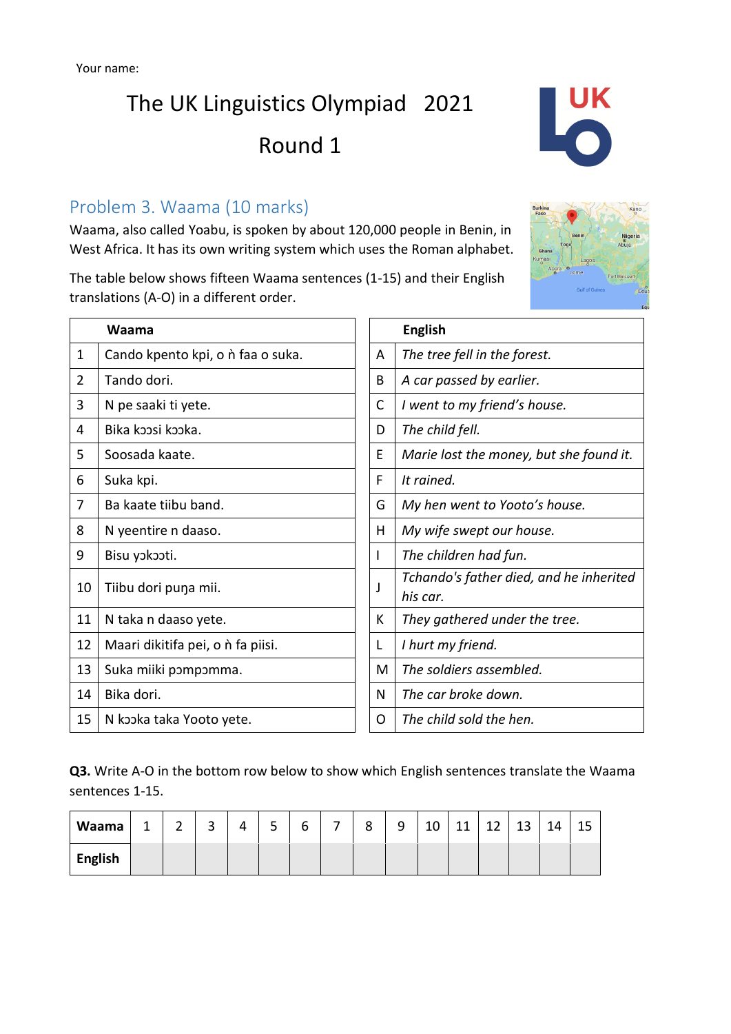## The UK Linguistics Olympiad 2021 Round 1



Waama, also called Yoabu, is spoken by about 120,000 people in Benin, in West Africa. It has its own writing system which uses the Roman alphabet.

The table below shows fifteen Waama sentences (1-15) and their English translations (A-O) in a different order.

|                | Waama                                    |   | <b>English</b>                                      |
|----------------|------------------------------------------|---|-----------------------------------------------------|
| $\mathbf 1$    | Cando kpento kpi, o <i>n</i> faa o suka. | A | The tree fell in the forest.                        |
| $\overline{2}$ | Tando dori.                              | B | A car passed by earlier.                            |
| 3              | N pe saaki ti yete.                      | C | I went to my friend's house.                        |
| 4              | Bika koosi kooka.                        | D | The child fell.                                     |
| 5              | Soosada kaate.                           | E | Marie lost the money, but she found it.             |
| 6              | Suka kpi.                                | F | It rained.                                          |
| 7              | Ba kaate tiibu band.                     | G | My hen went to Yooto's house.                       |
| 8              | N yeentire n daaso.                      | H | My wife swept our house.                            |
| 9              | Bisu yokooti.                            | I | The children had fun.                               |
| 10             | Tiibu dori puna mii.                     | J | Tchando's father died, and he inherited<br>his car. |
| 11             | N taka n daaso yete.                     | К | They gathered under the tree.                       |
| 12             | Maari dikitifa pei, o <i>n</i> fa piisi. | L | I hurt my friend.                                   |
| 13             | Suka miiki pompomma.                     | М | The soldiers assembled.                             |
| 14             | Bika dori.                               | N | The car broke down.                                 |
| 15             | N kooka taka Yooto yete.                 | 0 | The child sold the hen.                             |

**Q3.** Write A-O in the bottom row below to show which English sentences translate the Waama sentences 1-15.

| Waama          | ۰ | ∽<br>- | ∽<br>ت | 4 | -<br>ـ | ∽<br>n | - | 8 | q<br>ے | $\Lambda$<br>τn | 11 | $\sim$<br>ᅩᄼ | 13 | 14 | 15 |
|----------------|---|--------|--------|---|--------|--------|---|---|--------|-----------------|----|--------------|----|----|----|
| <b>English</b> |   |        |        |   |        |        |   |   |        |                 |    |              |    |    |    |